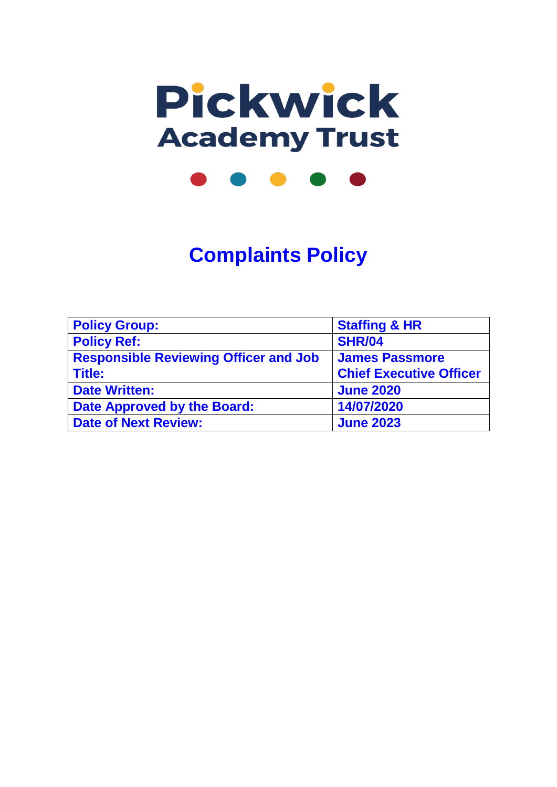

**Complaints Policy**

| <b>Policy Group:</b>                         | <b>Staffing &amp; HR</b>       |
|----------------------------------------------|--------------------------------|
| <b>Policy Ref:</b>                           | <b>SHR/04</b>                  |
| <b>Responsible Reviewing Officer and Job</b> | <b>James Passmore</b>          |
| <b>Title:</b>                                | <b>Chief Executive Officer</b> |
| <b>Date Written:</b>                         | <b>June 2020</b>               |
| <b>Date Approved by the Board:</b>           | 14/07/2020                     |
| <b>Date of Next Review:</b>                  | <b>June 2023</b>               |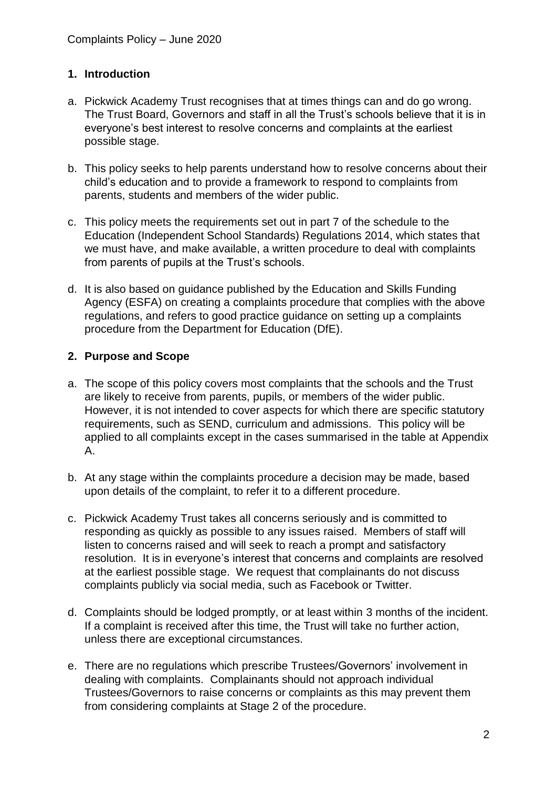### **1. Introduction**

- a. Pickwick Academy Trust recognises that at times things can and do go wrong. The Trust Board, Governors and staff in all the Trust's schools believe that it is in everyone's best interest to resolve concerns and complaints at the earliest possible stage.
- b. This policy seeks to help parents understand how to resolve concerns about their child's education and to provide a framework to respond to complaints from parents, students and members of the wider public.
- c. This policy meets the requirements set out in part 7 of the schedule to the Education (Independent School Standards) Regulations 2014, which states that we must have, and make available, a written procedure to deal with complaints from parents of pupils at the Trust's schools.
- d. It is also based on guidance published by the Education and Skills Funding Agency (ESFA) on creating a complaints procedure that complies with the above regulations, and refers to good practice guidance on setting up a complaints procedure from the Department for Education (DfE).

## **2. Purpose and Scope**

- a. The scope of this policy covers most complaints that the schools and the Trust are likely to receive from parents, pupils, or members of the wider public. However, it is not intended to cover aspects for which there are specific statutory requirements, such as SEND, curriculum and admissions. This policy will be applied to all complaints except in the cases summarised in the table at Appendix A.
- b. At any stage within the complaints procedure a decision may be made, based upon details of the complaint, to refer it to a different procedure.
- c. Pickwick Academy Trust takes all concerns seriously and is committed to responding as quickly as possible to any issues raised. Members of staff will listen to concerns raised and will seek to reach a prompt and satisfactory resolution. It is in everyone's interest that concerns and complaints are resolved at the earliest possible stage. We request that complainants do not discuss complaints publicly via social media, such as Facebook or Twitter.
- d. Complaints should be lodged promptly, or at least within 3 months of the incident. If a complaint is received after this time, the Trust will take no further action, unless there are exceptional circumstances.
- e. There are no regulations which prescribe Trustees/Governors' involvement in dealing with complaints. Complainants should not approach individual Trustees/Governors to raise concerns or complaints as this may prevent them from considering complaints at Stage 2 of the procedure.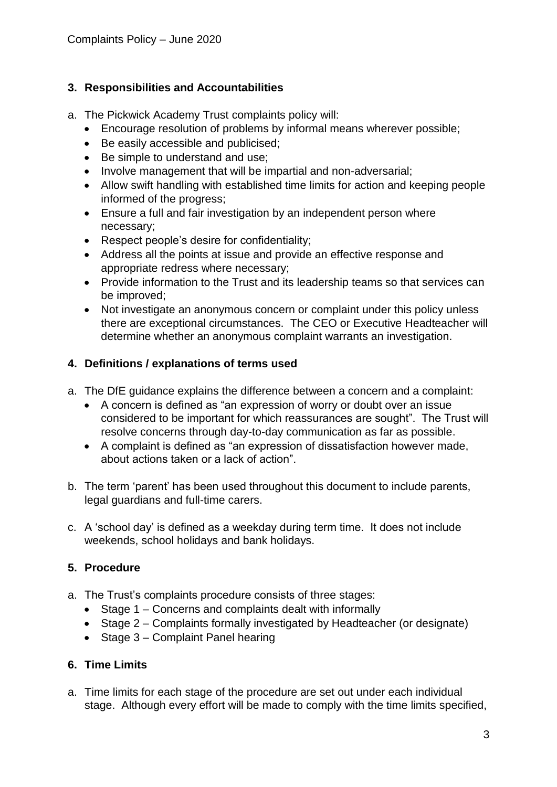### **3. Responsibilities and Accountabilities**

- a. The Pickwick Academy Trust complaints policy will:
	- Encourage resolution of problems by informal means wherever possible;
	- Be easily accessible and publicised;
	- Be simple to understand and use;
	- Involve management that will be impartial and non-adversarial;
	- Allow swift handling with established time limits for action and keeping people informed of the progress;
	- Ensure a full and fair investigation by an independent person where necessary;
	- Respect people's desire for confidentiality;
	- Address all the points at issue and provide an effective response and appropriate redress where necessary;
	- Provide information to the Trust and its leadership teams so that services can be improved;
	- Not investigate an anonymous concern or complaint under this policy unless there are exceptional circumstances. The CEO or Executive Headteacher will determine whether an anonymous complaint warrants an investigation.

## **4. Definitions / explanations of terms used**

- a. The DfE guidance explains the difference between a concern and a complaint:
	- A concern is defined as "an expression of worry or doubt over an issue considered to be important for which reassurances are sought". The Trust will resolve concerns through day-to-day communication as far as possible.
	- A complaint is defined as "an expression of dissatisfaction however made, about actions taken or a lack of action".
- b. The term 'parent' has been used throughout this document to include parents, legal guardians and full-time carers.
- c. A 'school day' is defined as a weekday during term time. It does not include weekends, school holidays and bank holidays.

## **5. Procedure**

- a. The Trust's complaints procedure consists of three stages:
	- Stage 1 Concerns and complaints dealt with informally
	- Stage 2 Complaints formally investigated by Headteacher (or designate)
	- Stage  $3$  Complaint Panel hearing

## **6. Time Limits**

a. Time limits for each stage of the procedure are set out under each individual stage. Although every effort will be made to comply with the time limits specified,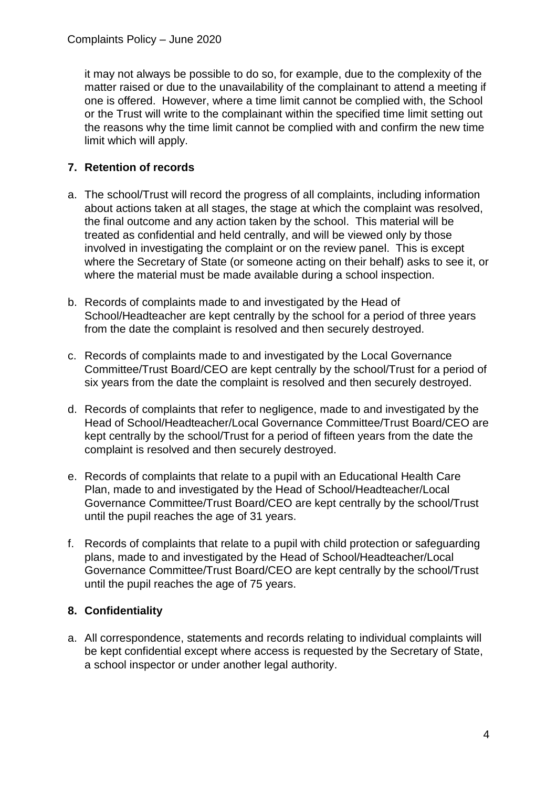it may not always be possible to do so, for example, due to the complexity of the matter raised or due to the unavailability of the complainant to attend a meeting if one is offered. However, where a time limit cannot be complied with, the School or the Trust will write to the complainant within the specified time limit setting out the reasons why the time limit cannot be complied with and confirm the new time limit which will apply.

## **7. Retention of records**

- a. The school/Trust will record the progress of all complaints, including information about actions taken at all stages, the stage at which the complaint was resolved, the final outcome and any action taken by the school. This material will be treated as confidential and held centrally, and will be viewed only by those involved in investigating the complaint or on the review panel. This is except where the Secretary of State (or someone acting on their behalf) asks to see it, or where the material must be made available during a school inspection.
- b. Records of complaints made to and investigated by the Head of School/Headteacher are kept centrally by the school for a period of three years from the date the complaint is resolved and then securely destroyed.
- c. Records of complaints made to and investigated by the Local Governance Committee/Trust Board/CEO are kept centrally by the school/Trust for a period of six years from the date the complaint is resolved and then securely destroyed.
- d. Records of complaints that refer to negligence, made to and investigated by the Head of School/Headteacher/Local Governance Committee/Trust Board/CEO are kept centrally by the school/Trust for a period of fifteen years from the date the complaint is resolved and then securely destroyed.
- e. Records of complaints that relate to a pupil with an Educational Health Care Plan, made to and investigated by the Head of School/Headteacher/Local Governance Committee/Trust Board/CEO are kept centrally by the school/Trust until the pupil reaches the age of 31 years.
- f. Records of complaints that relate to a pupil with child protection or safeguarding plans, made to and investigated by the Head of School/Headteacher/Local Governance Committee/Trust Board/CEO are kept centrally by the school/Trust until the pupil reaches the age of 75 years.

### **8. Confidentiality**

a. All correspondence, statements and records relating to individual complaints will be kept confidential except where access is requested by the Secretary of State, a school inspector or under another legal authority.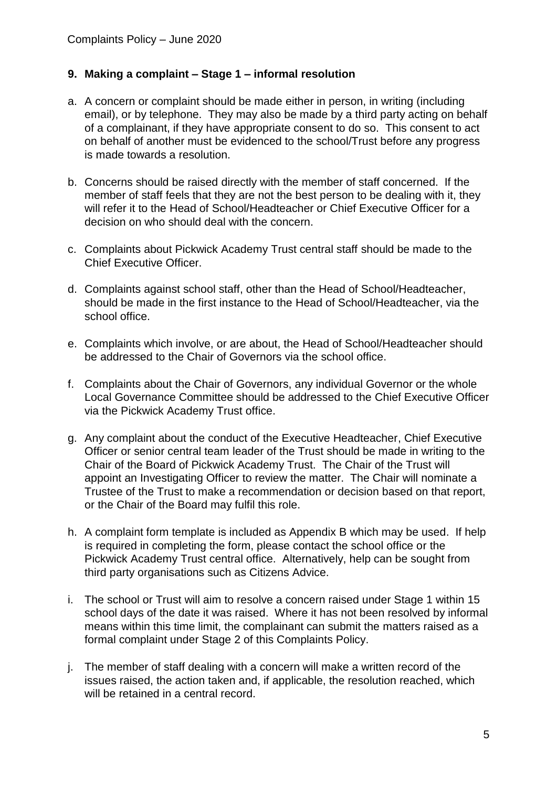### **9. Making a complaint – Stage 1 – informal resolution**

- a. A concern or complaint should be made either in person, in writing (including email), or by telephone. They may also be made by a third party acting on behalf of a complainant, if they have appropriate consent to do so. This consent to act on behalf of another must be evidenced to the school/Trust before any progress is made towards a resolution.
- b. Concerns should be raised directly with the member of staff concerned. If the member of staff feels that they are not the best person to be dealing with it, they will refer it to the Head of School/Headteacher or Chief Executive Officer for a decision on who should deal with the concern.
- c. Complaints about Pickwick Academy Trust central staff should be made to the Chief Executive Officer.
- d. Complaints against school staff, other than the Head of School/Headteacher, should be made in the first instance to the Head of School/Headteacher, via the school office.
- e. Complaints which involve, or are about, the Head of School/Headteacher should be addressed to the Chair of Governors via the school office.
- f. Complaints about the Chair of Governors, any individual Governor or the whole Local Governance Committee should be addressed to the Chief Executive Officer via the Pickwick Academy Trust office.
- g. Any complaint about the conduct of the Executive Headteacher, Chief Executive Officer or senior central team leader of the Trust should be made in writing to the Chair of the Board of Pickwick Academy Trust. The Chair of the Trust will appoint an Investigating Officer to review the matter. The Chair will nominate a Trustee of the Trust to make a recommendation or decision based on that report, or the Chair of the Board may fulfil this role.
- h. A complaint form template is included as Appendix B which may be used. If help is required in completing the form, please contact the school office or the Pickwick Academy Trust central office. Alternatively, help can be sought from third party organisations such as Citizens Advice.
- i. The school or Trust will aim to resolve a concern raised under Stage 1 within 15 school days of the date it was raised. Where it has not been resolved by informal means within this time limit, the complainant can submit the matters raised as a formal complaint under Stage 2 of this Complaints Policy.
- j. The member of staff dealing with a concern will make a written record of the issues raised, the action taken and, if applicable, the resolution reached, which will be retained in a central record.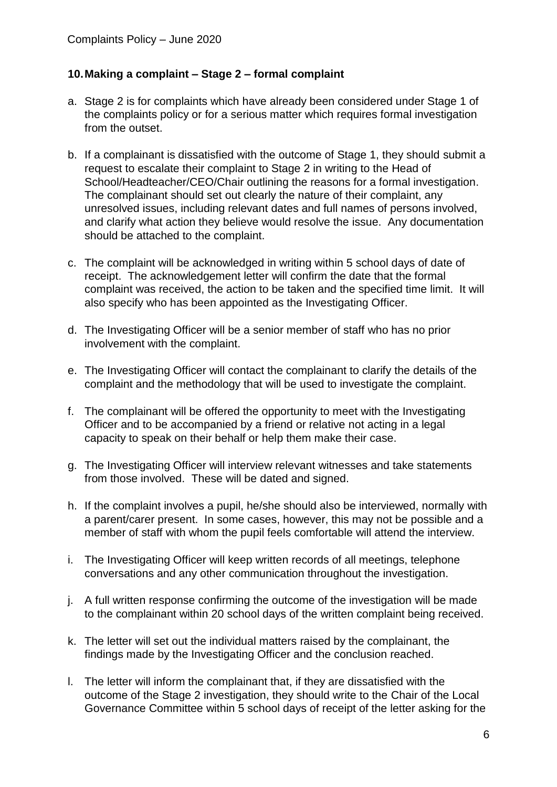### **10.Making a complaint – Stage 2 – formal complaint**

- a. Stage 2 is for complaints which have already been considered under Stage 1 of the complaints policy or for a serious matter which requires formal investigation from the outset.
- b. If a complainant is dissatisfied with the outcome of Stage 1, they should submit a request to escalate their complaint to Stage 2 in writing to the Head of School/Headteacher/CEO/Chair outlining the reasons for a formal investigation. The complainant should set out clearly the nature of their complaint, any unresolved issues, including relevant dates and full names of persons involved, and clarify what action they believe would resolve the issue. Any documentation should be attached to the complaint.
- c. The complaint will be acknowledged in writing within 5 school days of date of receipt. The acknowledgement letter will confirm the date that the formal complaint was received, the action to be taken and the specified time limit. It will also specify who has been appointed as the Investigating Officer.
- d. The Investigating Officer will be a senior member of staff who has no prior involvement with the complaint.
- e. The Investigating Officer will contact the complainant to clarify the details of the complaint and the methodology that will be used to investigate the complaint.
- f. The complainant will be offered the opportunity to meet with the Investigating Officer and to be accompanied by a friend or relative not acting in a legal capacity to speak on their behalf or help them make their case.
- g. The Investigating Officer will interview relevant witnesses and take statements from those involved. These will be dated and signed.
- h. If the complaint involves a pupil, he/she should also be interviewed, normally with a parent/carer present. In some cases, however, this may not be possible and a member of staff with whom the pupil feels comfortable will attend the interview.
- i. The Investigating Officer will keep written records of all meetings, telephone conversations and any other communication throughout the investigation.
- j. A full written response confirming the outcome of the investigation will be made to the complainant within 20 school days of the written complaint being received.
- k. The letter will set out the individual matters raised by the complainant, the findings made by the Investigating Officer and the conclusion reached.
- l. The letter will inform the complainant that, if they are dissatisfied with the outcome of the Stage 2 investigation, they should write to the Chair of the Local Governance Committee within 5 school days of receipt of the letter asking for the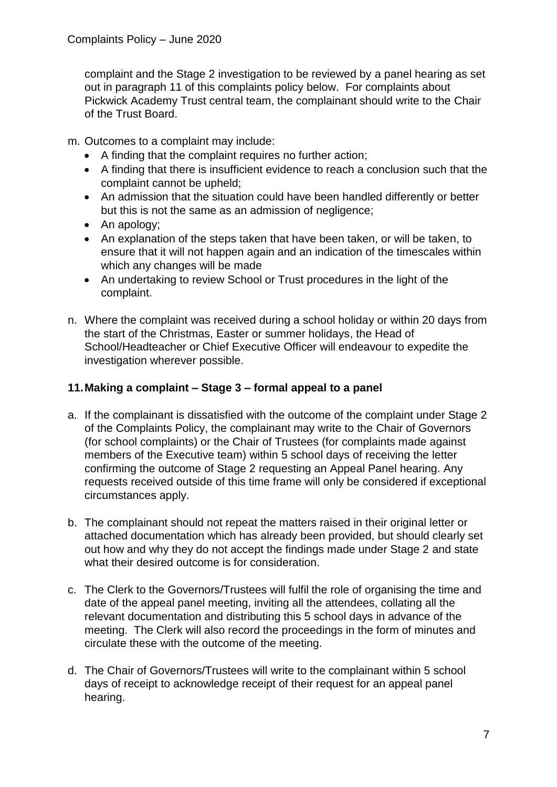complaint and the Stage 2 investigation to be reviewed by a panel hearing as set out in paragraph 11 of this complaints policy below. For complaints about Pickwick Academy Trust central team, the complainant should write to the Chair of the Trust Board.

m. Outcomes to a complaint may include:

- A finding that the complaint requires no further action;
- A finding that there is insufficient evidence to reach a conclusion such that the complaint cannot be upheld;
- An admission that the situation could have been handled differently or better but this is not the same as an admission of negligence;
- An apology;
- An explanation of the steps taken that have been taken, or will be taken, to ensure that it will not happen again and an indication of the timescales within which any changes will be made
- An undertaking to review School or Trust procedures in the light of the complaint.
- n. Where the complaint was received during a school holiday or within 20 days from the start of the Christmas, Easter or summer holidays, the Head of School/Headteacher or Chief Executive Officer will endeavour to expedite the investigation wherever possible.

## **11.Making a complaint – Stage 3 – formal appeal to a panel**

- a. If the complainant is dissatisfied with the outcome of the complaint under Stage 2 of the Complaints Policy, the complainant may write to the Chair of Governors (for school complaints) or the Chair of Trustees (for complaints made against members of the Executive team) within 5 school days of receiving the letter confirming the outcome of Stage 2 requesting an Appeal Panel hearing. Any requests received outside of this time frame will only be considered if exceptional circumstances apply.
- b. The complainant should not repeat the matters raised in their original letter or attached documentation which has already been provided, but should clearly set out how and why they do not accept the findings made under Stage 2 and state what their desired outcome is for consideration.
- c. The Clerk to the Governors/Trustees will fulfil the role of organising the time and date of the appeal panel meeting, inviting all the attendees, collating all the relevant documentation and distributing this 5 school days in advance of the meeting. The Clerk will also record the proceedings in the form of minutes and circulate these with the outcome of the meeting.
- d. The Chair of Governors/Trustees will write to the complainant within 5 school days of receipt to acknowledge receipt of their request for an appeal panel hearing.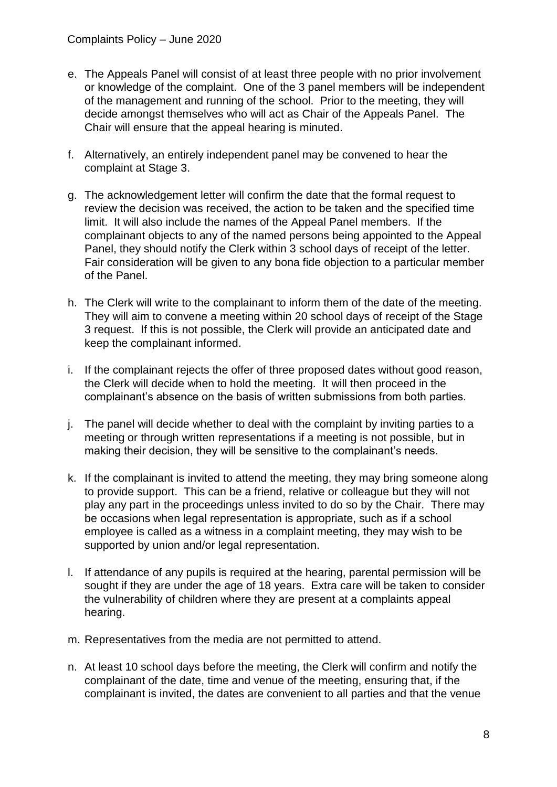- e. The Appeals Panel will consist of at least three people with no prior involvement or knowledge of the complaint. One of the 3 panel members will be independent of the management and running of the school. Prior to the meeting, they will decide amongst themselves who will act as Chair of the Appeals Panel. The Chair will ensure that the appeal hearing is minuted.
- f. Alternatively, an entirely independent panel may be convened to hear the complaint at Stage 3.
- g. The acknowledgement letter will confirm the date that the formal request to review the decision was received, the action to be taken and the specified time limit. It will also include the names of the Appeal Panel members. If the complainant objects to any of the named persons being appointed to the Appeal Panel, they should notify the Clerk within 3 school days of receipt of the letter. Fair consideration will be given to any bona fide objection to a particular member of the Panel.
- h. The Clerk will write to the complainant to inform them of the date of the meeting. They will aim to convene a meeting within 20 school days of receipt of the Stage 3 request. If this is not possible, the Clerk will provide an anticipated date and keep the complainant informed.
- i. If the complainant rejects the offer of three proposed dates without good reason, the Clerk will decide when to hold the meeting. It will then proceed in the complainant's absence on the basis of written submissions from both parties.
- j. The panel will decide whether to deal with the complaint by inviting parties to a meeting or through written representations if a meeting is not possible, but in making their decision, they will be sensitive to the complainant's needs.
- k. If the complainant is invited to attend the meeting, they may bring someone along to provide support. This can be a friend, relative or colleague but they will not play any part in the proceedings unless invited to do so by the Chair. There may be occasions when legal representation is appropriate, such as if a school employee is called as a witness in a complaint meeting, they may wish to be supported by union and/or legal representation.
- l. If attendance of any pupils is required at the hearing, parental permission will be sought if they are under the age of 18 years. Extra care will be taken to consider the vulnerability of children where they are present at a complaints appeal hearing.
- m. Representatives from the media are not permitted to attend.
- n. At least 10 school days before the meeting, the Clerk will confirm and notify the complainant of the date, time and venue of the meeting, ensuring that, if the complainant is invited, the dates are convenient to all parties and that the venue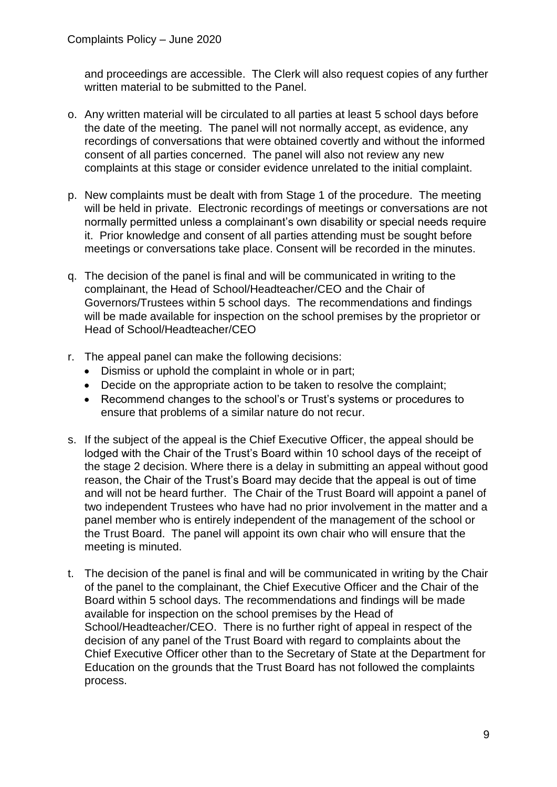and proceedings are accessible. The Clerk will also request copies of any further written material to be submitted to the Panel.

- o. Any written material will be circulated to all parties at least 5 school days before the date of the meeting. The panel will not normally accept, as evidence, any recordings of conversations that were obtained covertly and without the informed consent of all parties concerned. The panel will also not review any new complaints at this stage or consider evidence unrelated to the initial complaint.
- p. New complaints must be dealt with from Stage 1 of the procedure. The meeting will be held in private. Electronic recordings of meetings or conversations are not normally permitted unless a complainant's own disability or special needs require it. Prior knowledge and consent of all parties attending must be sought before meetings or conversations take place. Consent will be recorded in the minutes.
- q. The decision of the panel is final and will be communicated in writing to the complainant, the Head of School/Headteacher/CEO and the Chair of Governors/Trustees within 5 school days. The recommendations and findings will be made available for inspection on the school premises by the proprietor or Head of School/Headteacher/CEO
- r. The appeal panel can make the following decisions:
	- Dismiss or uphold the complaint in whole or in part;
	- Decide on the appropriate action to be taken to resolve the complaint;
	- Recommend changes to the school's or Trust's systems or procedures to ensure that problems of a similar nature do not recur.
- s. If the subject of the appeal is the Chief Executive Officer, the appeal should be lodged with the Chair of the Trust's Board within 10 school days of the receipt of the stage 2 decision. Where there is a delay in submitting an appeal without good reason, the Chair of the Trust's Board may decide that the appeal is out of time and will not be heard further. The Chair of the Trust Board will appoint a panel of two independent Trustees who have had no prior involvement in the matter and a panel member who is entirely independent of the management of the school or the Trust Board. The panel will appoint its own chair who will ensure that the meeting is minuted.
- t. The decision of the panel is final and will be communicated in writing by the Chair of the panel to the complainant, the Chief Executive Officer and the Chair of the Board within 5 school days. The recommendations and findings will be made available for inspection on the school premises by the Head of School/Headteacher/CEO. There is no further right of appeal in respect of the decision of any panel of the Trust Board with regard to complaints about the Chief Executive Officer other than to the Secretary of State at the Department for Education on the grounds that the Trust Board has not followed the complaints process.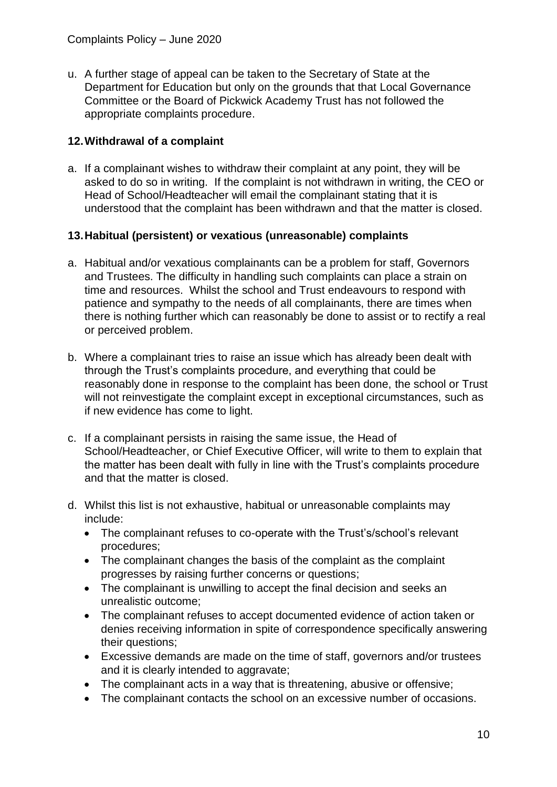u. A further stage of appeal can be taken to the Secretary of State at the Department for Education but only on the grounds that that Local Governance Committee or the Board of Pickwick Academy Trust has not followed the appropriate complaints procedure.

## **12.Withdrawal of a complaint**

a. If a complainant wishes to withdraw their complaint at any point, they will be asked to do so in writing. If the complaint is not withdrawn in writing, the CEO or Head of School/Headteacher will email the complainant stating that it is understood that the complaint has been withdrawn and that the matter is closed.

## **13.Habitual (persistent) or vexatious (unreasonable) complaints**

- a. Habitual and/or vexatious complainants can be a problem for staff, Governors and Trustees. The difficulty in handling such complaints can place a strain on time and resources. Whilst the school and Trust endeavours to respond with patience and sympathy to the needs of all complainants, there are times when there is nothing further which can reasonably be done to assist or to rectify a real or perceived problem.
- b. Where a complainant tries to raise an issue which has already been dealt with through the Trust's complaints procedure, and everything that could be reasonably done in response to the complaint has been done, the school or Trust will not reinvestigate the complaint except in exceptional circumstances, such as if new evidence has come to light.
- c. If a complainant persists in raising the same issue, the Head of School/Headteacher, or Chief Executive Officer, will write to them to explain that the matter has been dealt with fully in line with the Trust's complaints procedure and that the matter is closed.
- d. Whilst this list is not exhaustive, habitual or unreasonable complaints may include:
	- The complainant refuses to co-operate with the Trust's/school's relevant procedures;
	- The complainant changes the basis of the complaint as the complaint progresses by raising further concerns or questions;
	- The complainant is unwilling to accept the final decision and seeks an unrealistic outcome;
	- The complainant refuses to accept documented evidence of action taken or denies receiving information in spite of correspondence specifically answering their questions;
	- Excessive demands are made on the time of staff, governors and/or trustees and it is clearly intended to aggravate:
	- The complainant acts in a way that is threatening, abusive or offensive;
	- The complainant contacts the school on an excessive number of occasions.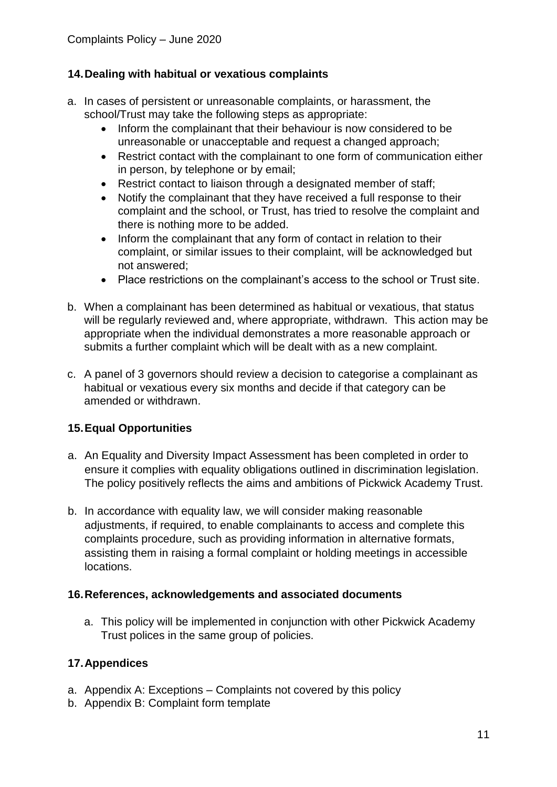### **14.Dealing with habitual or vexatious complaints**

- a. In cases of persistent or unreasonable complaints, or harassment, the school/Trust may take the following steps as appropriate:
	- Inform the complainant that their behaviour is now considered to be unreasonable or unacceptable and request a changed approach;
	- Restrict contact with the complainant to one form of communication either in person, by telephone or by email;
	- Restrict contact to liaison through a designated member of staff;
	- Notify the complainant that they have received a full response to their complaint and the school, or Trust, has tried to resolve the complaint and there is nothing more to be added.
	- Inform the complainant that any form of contact in relation to their complaint, or similar issues to their complaint, will be acknowledged but not answered;
	- Place restrictions on the complainant's access to the school or Trust site.
- b. When a complainant has been determined as habitual or vexatious, that status will be regularly reviewed and, where appropriate, withdrawn. This action may be appropriate when the individual demonstrates a more reasonable approach or submits a further complaint which will be dealt with as a new complaint.
- c. A panel of 3 governors should review a decision to categorise a complainant as habitual or vexatious every six months and decide if that category can be amended or withdrawn.

### **15.Equal Opportunities**

- a. An Equality and Diversity Impact Assessment has been completed in order to ensure it complies with equality obligations outlined in discrimination legislation. The policy positively reflects the aims and ambitions of Pickwick Academy Trust.
- b. In accordance with equality law, we will consider making reasonable adjustments, if required, to enable complainants to access and complete this complaints procedure, such as providing information in alternative formats, assisting them in raising a formal complaint or holding meetings in accessible locations.

#### **16.References, acknowledgements and associated documents**

a. This policy will be implemented in conjunction with other Pickwick Academy Trust polices in the same group of policies.

### **17.Appendices**

- a. Appendix A: Exceptions Complaints not covered by this policy
- b. Appendix B: Complaint form template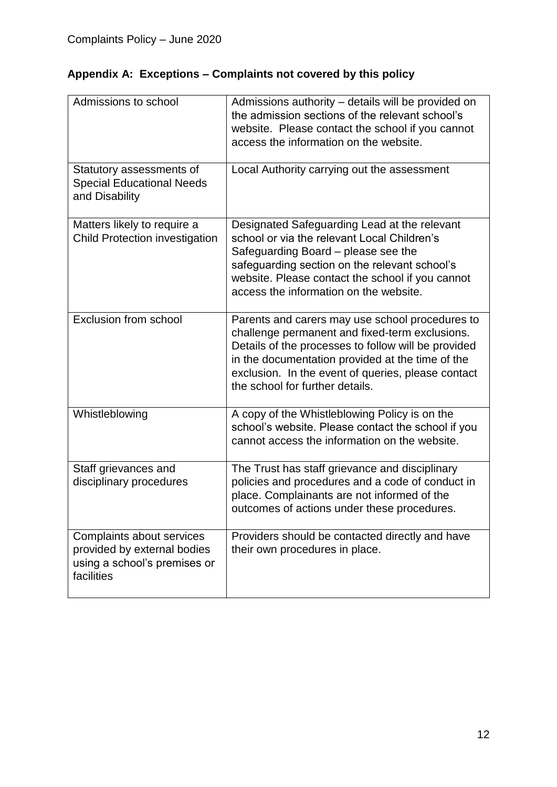| Admissions to school                                                                                   | Admissions authority – details will be provided on<br>the admission sections of the relevant school's<br>website. Please contact the school if you cannot<br>access the information on the website.                                                                                                   |
|--------------------------------------------------------------------------------------------------------|-------------------------------------------------------------------------------------------------------------------------------------------------------------------------------------------------------------------------------------------------------------------------------------------------------|
| Statutory assessments of<br><b>Special Educational Needs</b><br>and Disability                         | Local Authority carrying out the assessment                                                                                                                                                                                                                                                           |
| Matters likely to require a<br><b>Child Protection investigation</b>                                   | Designated Safeguarding Lead at the relevant<br>school or via the relevant Local Children's<br>Safeguarding Board - please see the<br>safeguarding section on the relevant school's<br>website. Please contact the school if you cannot<br>access the information on the website.                     |
| <b>Exclusion from school</b>                                                                           | Parents and carers may use school procedures to<br>challenge permanent and fixed-term exclusions.<br>Details of the processes to follow will be provided<br>in the documentation provided at the time of the<br>exclusion. In the event of queries, please contact<br>the school for further details. |
| Whistleblowing                                                                                         | A copy of the Whistleblowing Policy is on the<br>school's website. Please contact the school if you<br>cannot access the information on the website.                                                                                                                                                  |
| Staff grievances and<br>disciplinary procedures                                                        | The Trust has staff grievance and disciplinary<br>policies and procedures and a code of conduct in<br>place. Complainants are not informed of the<br>outcomes of actions under these procedures.                                                                                                      |
| Complaints about services<br>provided by external bodies<br>using a school's premises or<br>facilities | Providers should be contacted directly and have<br>their own procedures in place.                                                                                                                                                                                                                     |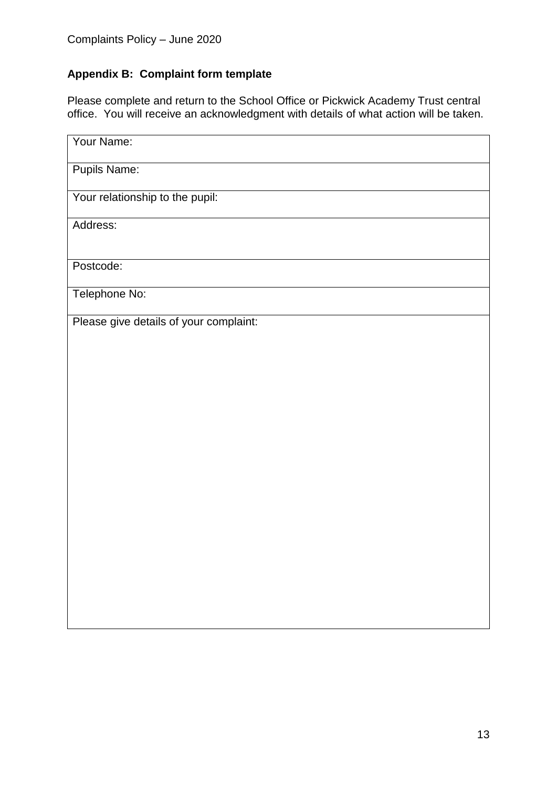# **Appendix B: Complaint form template**

Please complete and return to the School Office or Pickwick Academy Trust central office. You will receive an acknowledgment with details of what action will be taken.

| Your Name:                             |
|----------------------------------------|
| <b>Pupils Name:</b>                    |
| Your relationship to the pupil:        |
| Address:                               |
| Postcode:                              |
| Telephone No:                          |
| Please give details of your complaint: |
|                                        |
|                                        |
|                                        |
|                                        |
|                                        |
|                                        |
|                                        |
|                                        |
|                                        |
|                                        |